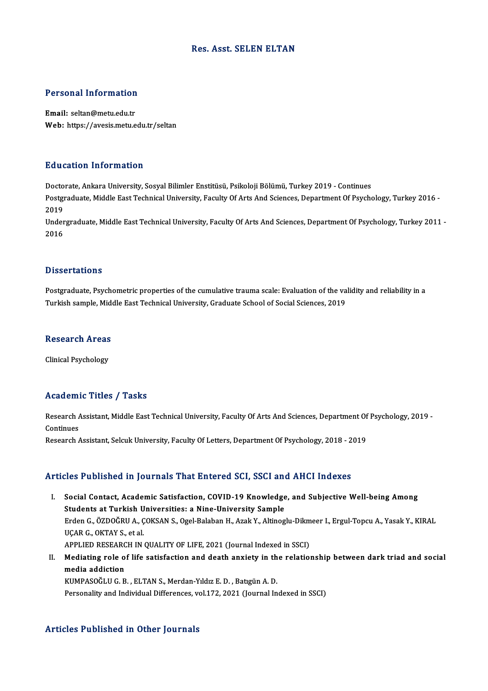### Res. Asst. SELEN ELTAN

# Personal Information

Personal Information<br>Email: seltan@metu.edu.tr<br>Web: https://avesis.metu.e Email: seltan@metu.edu.tr<br>Web: https://avesis.metu.edu.tr/seltan

#### Education Information

<mark>Education Information</mark><br>Doctorate, Ankara University, Sosyal Bilimler Enstitüsü, Psikoloji Bölümü, Turkey 2019 - Continues<br>Postsraduate Middle Fast Technical University, Fasulty Of Arts And Sciences, Department Of Beyche Postgraduate, Middle East Technical University, Faculty Of Arts And Sciences, Department Of Psychology, Turkey 2016 -<br>2019 Docto<br>Postgi<br>2019<br>Under Postgraduate, Middle East Technical University, Faculty Of Arts And Sciences, Department Of Psychology, Turkey 2016 -<br>2019<br>Undergraduate, Middle East Technical University, Faculty Of Arts And Sciences, Department Of Psycho

2019<br>Under<br>2016 Dissertations

Dissertations<br>Postgraduate, Psychometric properties of the cumulative trauma scale: Evaluation of the validity and reliability in a<br>Turkish cample Middle East Technical University, Craduate School of Sacial Sciences, 2010. D'15501 tatrons<br>Postgraduate, Psychometric properties of the cumulative trauma scale: Evaluation of the va<br>Turkish sample, Middle East Technical University, Graduate School of Social Sciences, 2019 Turkish sample, Middle East Technical University, Graduate School of Social Sciences, 2019<br>Research Areas

Clinical Psychology

#### Academic Titles / Tasks

Academic Titles / Tasks<br>Research Assistant, Middle East Technical University, Faculty Of Arts And Sciences, Department Of Psychology, 2019 -<br>Continues Research Andrews<br>Continues<br>Research Research Assistant, Middle East Technical University, Faculty Of Arts And Sciences, Department Of<br>Continues<br>Research Assistant, Selcuk University, Faculty Of Letters, Department Of Psychology, 2018 - 2019

## Research Assistant, Selcuk University, Faculty Of Letters, Department Of Psychology, 2018 - 2019<br>Articles Published in Journals That Entered SCI, SSCI and AHCI Indexes

rticles Published in Journals That Entered SCI, SSCI and AHCI Indexes<br>I. Social Contact, Academic Satisfaction, COVID-19 Knowledge, and Subjective Well-being Among<br>Students at Turkish Universities: a Nine University Sample Students at Turkish Universities: a Nine-University Sample<br>Students at Turkish Universities: a Nine-University Sample<br>Erden G. ÖZDOČELLA, COKSAN S. Ogel Balaban H. Agak V. Altines Students at Turkish Universities: a Nine-University Sample<br>Erden G., ÖZDOĞRU A., ÇOKSAN S., Ogel-Balaban H., Azak Y., Altinoglu-Dikmeer I., Ergul-Topcu A., Yasak Y., KIRAL UÇARG.,OKTAYS.,etal. Erden G., ÖZDOĞRU A., ÇOKSAN S., Ogel-Balaban H., Azak Y., Altinoglu-Dikm<br>UÇAR G., OKTAY S., et al.<br>APPLIED RESEARCH IN QUALITY OF LIFE, 2021 (Journal Indexed in SSCI)<br>Mediating role of life estisfaction and desth anviety II. Mediating role of life satisfaction and death anxiety in the relationship between dark triad and social media addiction APPLIED RESEARC<br>Mediating role o<br>media addiction<br>KUMPASOČLU C P

KUMPASOĞLUG.B. ,ELTANS.,Merdan-YıldızE.D. ,BatıgünA.D. Personality and Individual Differences, vol.172, 2021 (Journal Indexed in SSCI)

## Articles Published in Other Journals